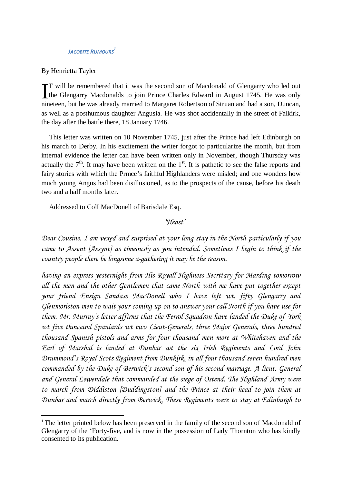## By Henrietta Tayler

**.** 

T will be remembered that it was the second son of Macdonald of Glengarry who led out T will be remembered that it was the second son of Macdonald of Glengarry who led out<br>the Glengarry Macdonalds to join Prince Charles Edward in August 1745. He was only nineteen, but he was already married to Margaret Robertson of Struan and had a son, Duncan, as well as a posthumous daughter Angusia. He was shot accidentally in the street of Falkirk, the day after the battle there, 18 January 1746.

This letter was written on 10 November 1745, just after the Prince had left Edinburgh on his march to Derby. In his excitement the writer forgot to particularize the month, but from internal evidence the letter can have been written only in November, though Thursday was actually the  $7<sup>th</sup>$ . It may have been written on the  $1<sup>st</sup>$ . It is pathetic to see the false reports and fairy stories with which the Prmce's faithful Highlanders were misled; and one wonders how much young Angus had been disillusioned, as to the prospects of the cause, before his death two and a half months later.

Addressed to ColI MacDonell of BarisdaIe Esq.

*'Heast'*

*Dear Cousine, I am vexed and surprised at your long stay in the North particularly if you came to Assent [Assynt] as timeously as you intended. Sometimes I begin to think if the country people there be longsome a-gathering it may be the reason.*

*having an express yesternight from His Royall Highness Secrttary for Marding tomorrow all the men and the other Gentlemen that came North with me have put together except your friend Ensign Sandass MacDonell who I have left wt. fifty Glengarry and Glenmoriston men to wait your coming up on to answer your call North if you have use for them. Mr. Murray's letter affirms that the Ferrol Squadron have landed the Duke of York wt five thousand Spaniards wt two Lieut-Generals, three Major Generals, three hundred thousand Spanish pistols and arms for four thousand men more at Whitehaven and the Earl of Marshal is landed at Dunbar wt the six Irish Regiments and Lord John Drummond's Royal Scots Regiment from Dunkirk, in all four thousand seven hundred men commanded by the Duke of Berwick's second son of his second marriage. A lieut. General and General Lewendale that commanded at the siege of Ostend. The Highland Army were to march from Diddiston [Duddingston] and the Prince at their head to join them at Dunbar and march directly from Berwick. These Regiments were to stay at Edinburgh to* 

<sup>&</sup>lt;sup>1</sup> The letter printed below has been preserved in the family of the second son of Macdonald of Glengarry of the 'Forty-five, and is now in the possession of Lady Thornton who has kindly consented to its publication.